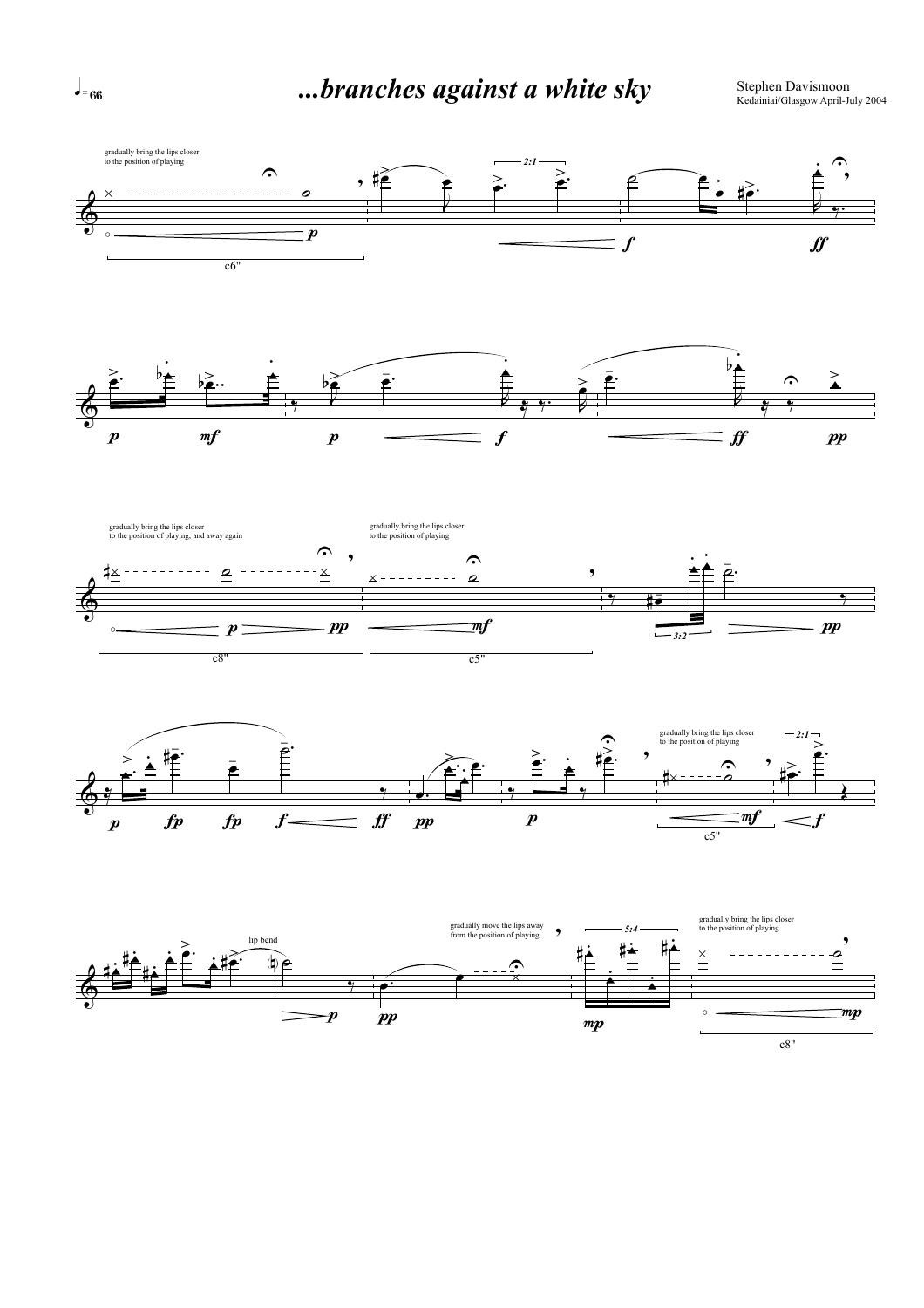

 $\overline{\bullet}$  = 66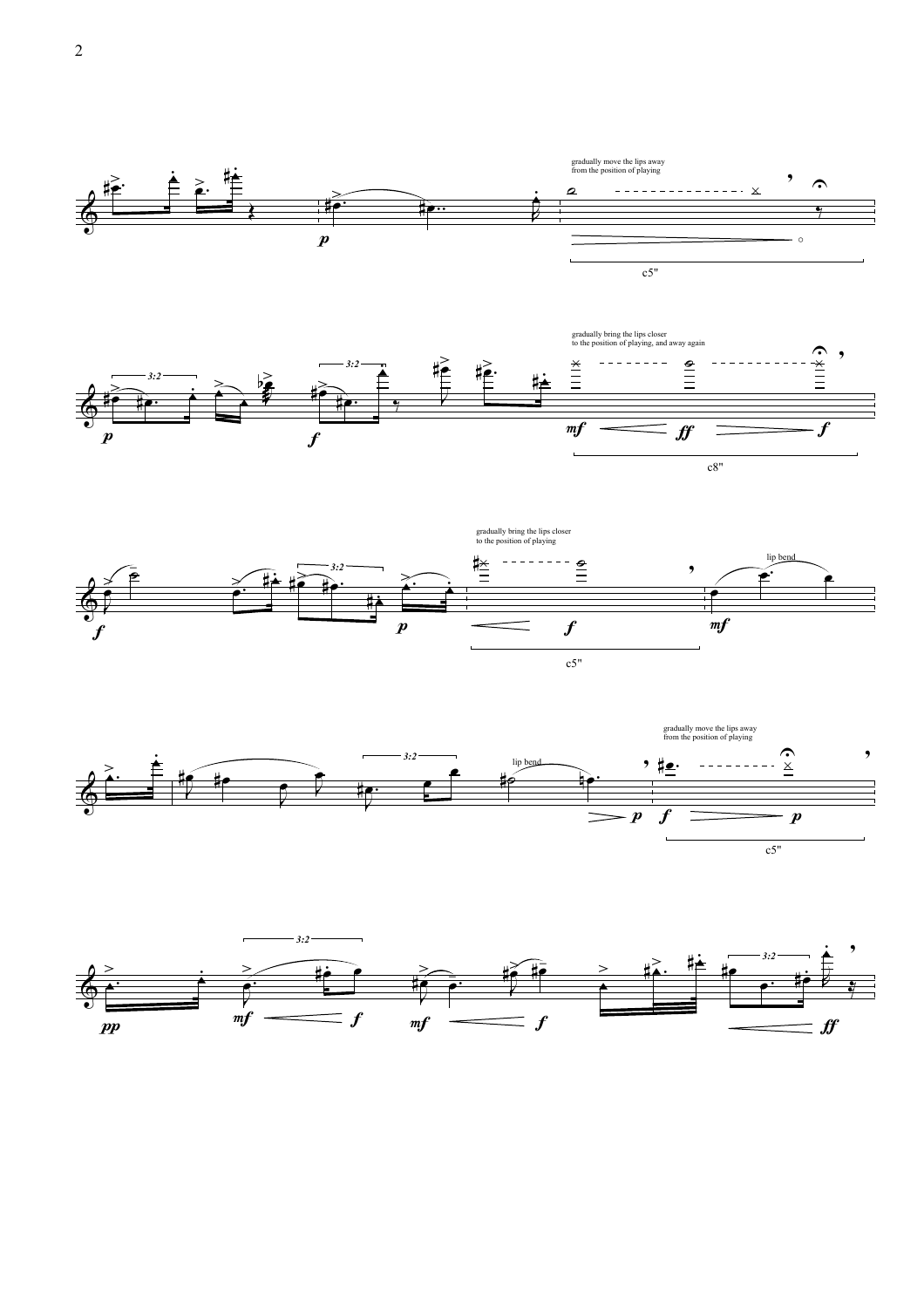







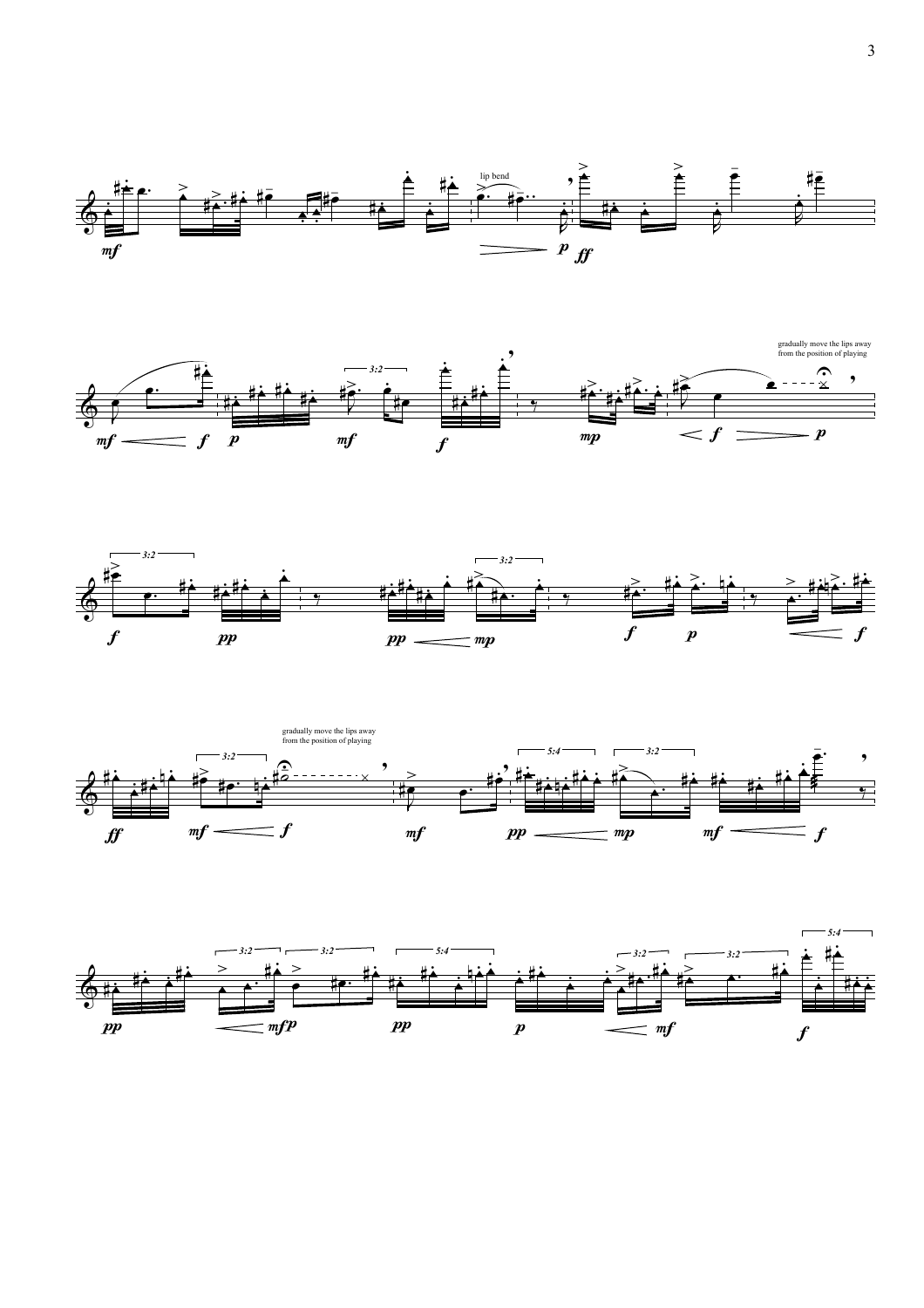







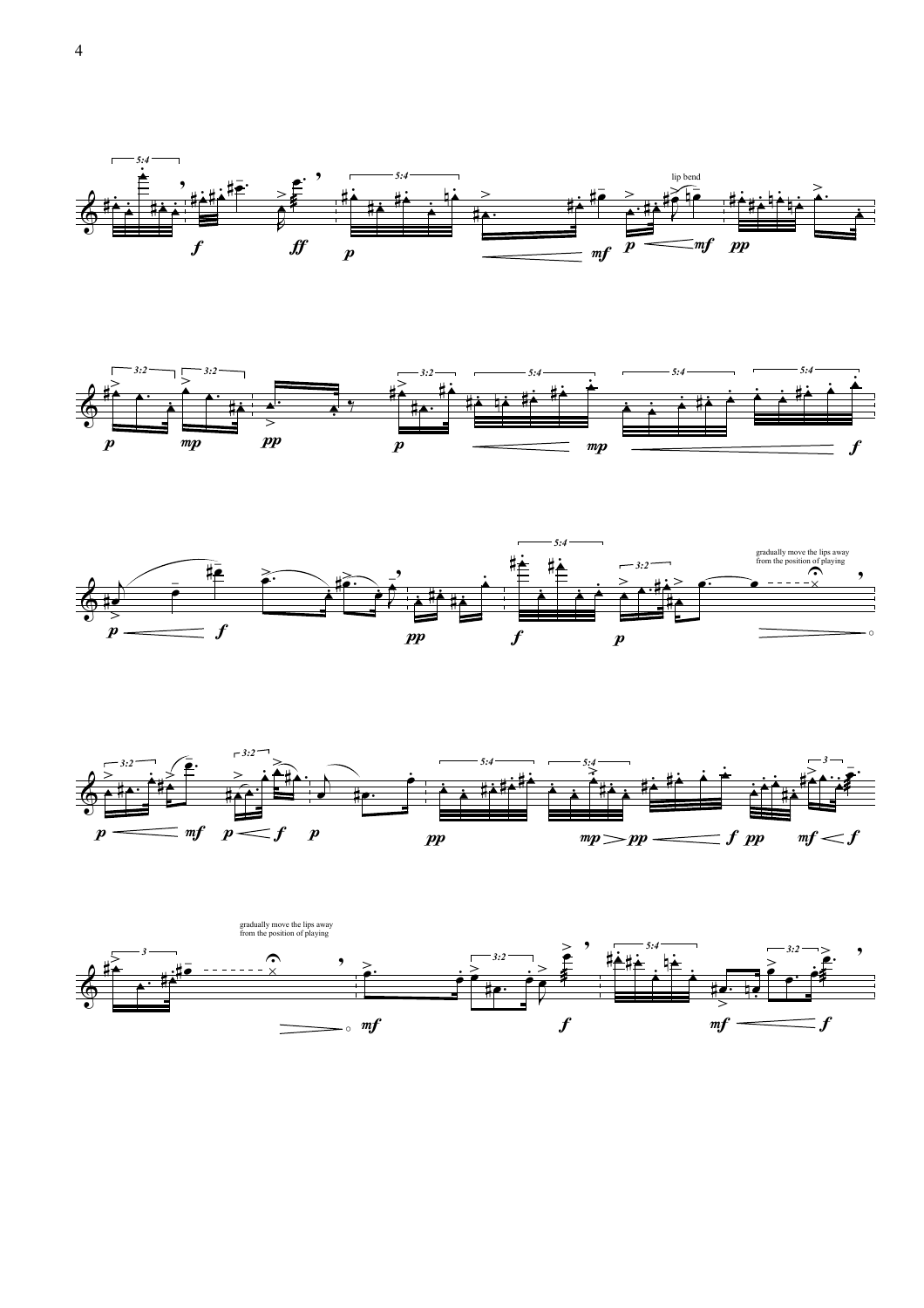